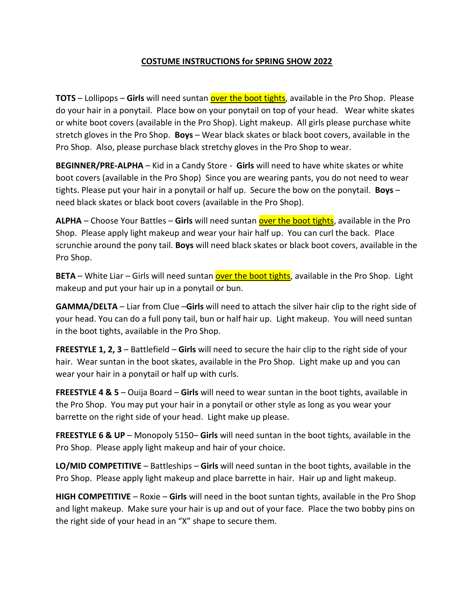## **COSTUME INSTRUCTIONS for SPRING SHOW 2022**

**TOTS** – Lollipops – Girls will need suntan over the boot tights, available in the Pro Shop. Please do your hair in a ponytail. Place bow on your ponytail on top of your head. Wear white skates or white boot covers (available in the Pro Shop). Light makeup. All girls please purchase white stretch gloves in the Pro Shop. **Boys** – Wear black skates or black boot covers, available in the Pro Shop. Also, please purchase black stretchy gloves in the Pro Shop to wear.

**BEGINNER/PRE-ALPHA** – Kid in a Candy Store - **Girls** will need to have white skates or white boot covers (available in the Pro Shop) Since you are wearing pants, you do not need to wear tights. Please put your hair in a ponytail or half up. Secure the bow on the ponytail. **Boys** – need black skates or black boot covers (available in the Pro Shop).

ALPHA - Choose Your Battles - Girls will need suntan **over the boot tights**, available in the Pro Shop. Please apply light makeup and wear your hair half up. You can curl the back. Place scrunchie around the pony tail. **Boys** will need black skates or black boot covers, available in the Pro Shop.

**BETA** – White Liar – Girls will need suntan **over the boot tights**, available in the Pro Shop. Light makeup and put your hair up in a ponytail or bun.

**GAMMA/DELTA** – Liar from Clue –**Girls** will need to attach the silver hair clip to the right side of your head. You can do a full pony tail, bun or half hair up. Light makeup. You will need suntan in the boot tights, available in the Pro Shop.

**FREESTYLE 1, 2, 3** – Battlefield – **Girls** will need to secure the hair clip to the right side of your hair. Wear suntan in the boot skates, available in the Pro Shop. Light make up and you can wear your hair in a ponytail or half up with curls.

**FREESTYLE 4 & 5** – Ouija Board – **Girls** will need to wear suntan in the boot tights, available in the Pro Shop. You may put your hair in a ponytail or other style as long as you wear your barrette on the right side of your head. Light make up please.

**FREESTYLE 6 & UP** – Monopoly 5150– **Girls** will need suntan in the boot tights, available in the Pro Shop. Please apply light makeup and hair of your choice.

**LO/MID COMPETITIVE** – Battleships – **Girls** will need suntan in the boot tights, available in the Pro Shop. Please apply light makeup and place barrette in hair. Hair up and light makeup.

**HIGH COMPETITIVE** – Roxie – **Girls** will need in the boot suntan tights, available in the Pro Shop and light makeup. Make sure your hair is up and out of your face. Place the two bobby pins on the right side of your head in an "X" shape to secure them.